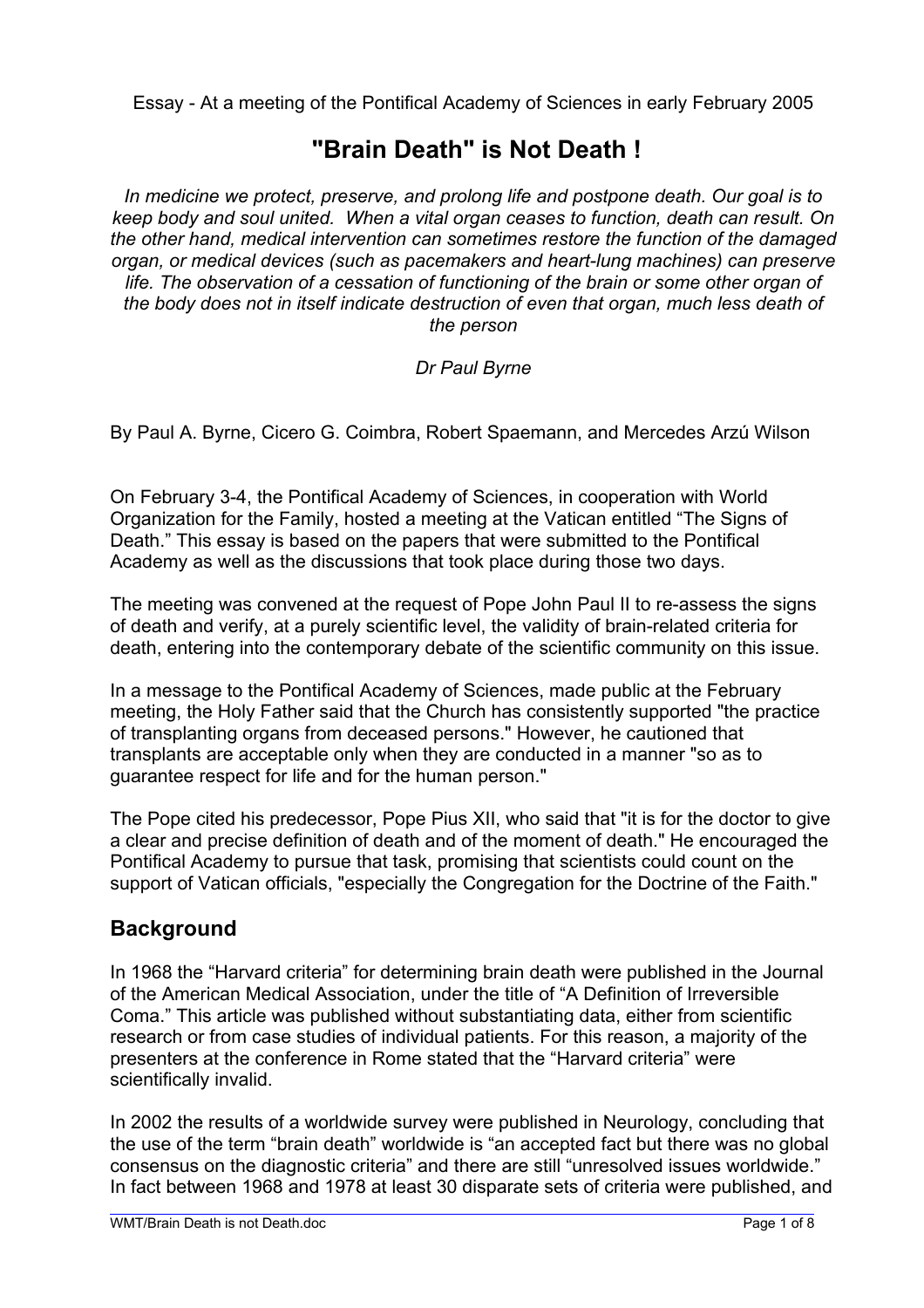Essay - At a meeting of the Pontifical Academy of Sciences in early February 2005

# **"Brain Death" is Not Death !**

*In medicine we protect, preserve, and prolong life and postpone death. Our goal is to keep body and soul united. When a vital organ ceases to function, death can result. On the other hand, medical intervention can sometimes restore the function of the damaged organ, or medical devices (such as pacemakers and heart-lung machines) can preserve life. The observation of a cessation of functioning of the brain or some other organ of the body does not in itself indicate destruction of even that organ, much less death of the person* 

#### *Dr Paul Byrne*

By Paul A. Byrne, Cicero G. Coimbra, Robert Spaemann, and Mercedes Arzú Wilson

On February 3-4, the Pontifical Academy of Sciences, in cooperation with World Organization for the Family, hosted a meeting at the Vatican entitled "The Signs of Death." This essay is based on the papers that were submitted to the Pontifical Academy as well as the discussions that took place during those two days.

The meeting was convened at the request of Pope John Paul II to re-assess the signs of death and verify, at a purely scientific level, the validity of brain-related criteria for death, entering into the contemporary debate of the scientific community on this issue.

In a message to the Pontifical Academy of Sciences, made public at the February meeting, the Holy Father said that the Church has consistently supported "the practice of transplanting organs from deceased persons." However, he cautioned that transplants are acceptable only when they are conducted in a manner "so as to guarantee respect for life and for the human person."

The Pope cited his predecessor, Pope Pius XII, who said that "it is for the doctor to give a clear and precise definition of death and of the moment of death." He encouraged the Pontifical Academy to pursue that task, promising that scientists could count on the support of Vatican officials, "especially the Congregation for the Doctrine of the Faith."

### **Background**

In 1968 the "Harvard criteria" for determining brain death were published in the Journal of the American Medical Association, under the title of "A Definition of Irreversible Coma." This article was published without substantiating data, either from scientific research or from case studies of individual patients. For this reason, a majority of the presenters at the conference in Rome stated that the "Harvard criteria" were scientifically invalid.

In 2002 the results of a worldwide survey were published in Neurology, concluding that the use of the term "brain death" worldwide is "an accepted fact but there was no global consensus on the diagnostic criteria" and there are still "unresolved issues worldwide." In fact between 1968 and 1978 at least 30 disparate sets of criteria were published, and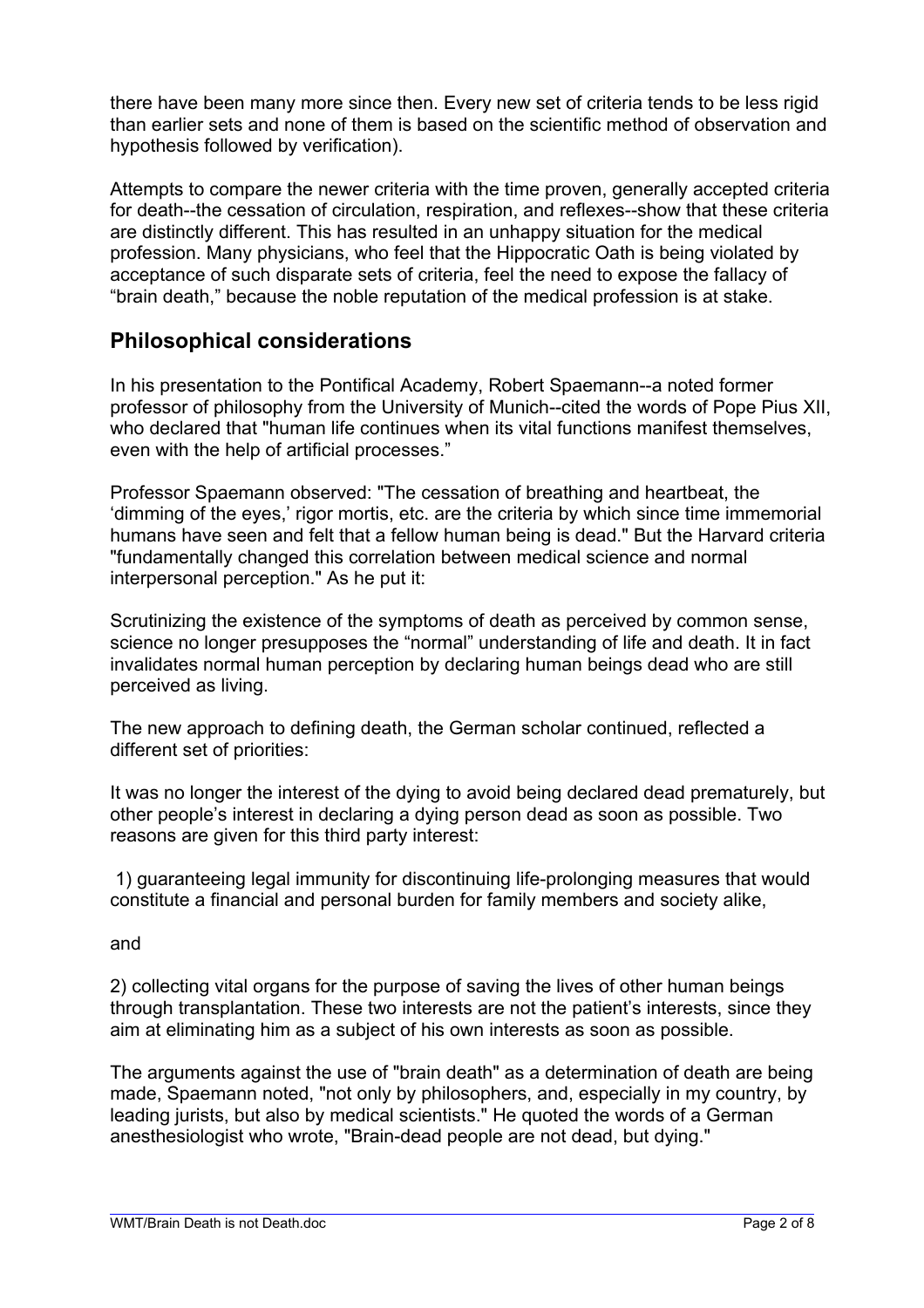there have been many more since then. Every new set of criteria tends to be less rigid than earlier sets and none of them is based on the scientific method of observation and hypothesis followed by verification).

Attempts to compare the newer criteria with the time proven, generally accepted criteria for death--the cessation of circulation, respiration, and reflexes--show that these criteria are distinctly different. This has resulted in an unhappy situation for the medical profession. Many physicians, who feel that the Hippocratic Oath is being violated by acceptance of such disparate sets of criteria, feel the need to expose the fallacy of "brain death," because the noble reputation of the medical profession is at stake.

### **Philosophical considerations**

In his presentation to the Pontifical Academy, Robert Spaemann--a noted former professor of philosophy from the University of Munich--cited the words of Pope Pius XII, who declared that "human life continues when its vital functions manifest themselves, even with the help of artificial processes."

Professor Spaemann observed: "The cessation of breathing and heartbeat, the 'dimming of the eyes,' rigor mortis, etc. are the criteria by which since time immemorial humans have seen and felt that a fellow human being is dead." But the Harvard criteria "fundamentally changed this correlation between medical science and normal interpersonal perception." As he put it:

Scrutinizing the existence of the symptoms of death as perceived by common sense, science no longer presupposes the "normal" understanding of life and death. It in fact invalidates normal human perception by declaring human beings dead who are still perceived as living.

The new approach to defining death, the German scholar continued, reflected a different set of priorities:

It was no longer the interest of the dying to avoid being declared dead prematurely, but other people's interest in declaring a dying person dead as soon as possible. Two reasons are given for this third party interest:

 1) guaranteeing legal immunity for discontinuing life-prolonging measures that would constitute a financial and personal burden for family members and society alike,

and

L

2) collecting vital organs for the purpose of saving the lives of other human beings through transplantation. These two interests are not the patient's interests, since they aim at eliminating him as a subject of his own interests as soon as possible.

The arguments against the use of "brain death" as a determination of death are being made, Spaemann noted, "not only by philosophers, and, especially in my country, by leading jurists, but also by medical scientists." He quoted the words of a German anesthesiologist who wrote, "Brain-dead people are not dead, but dying."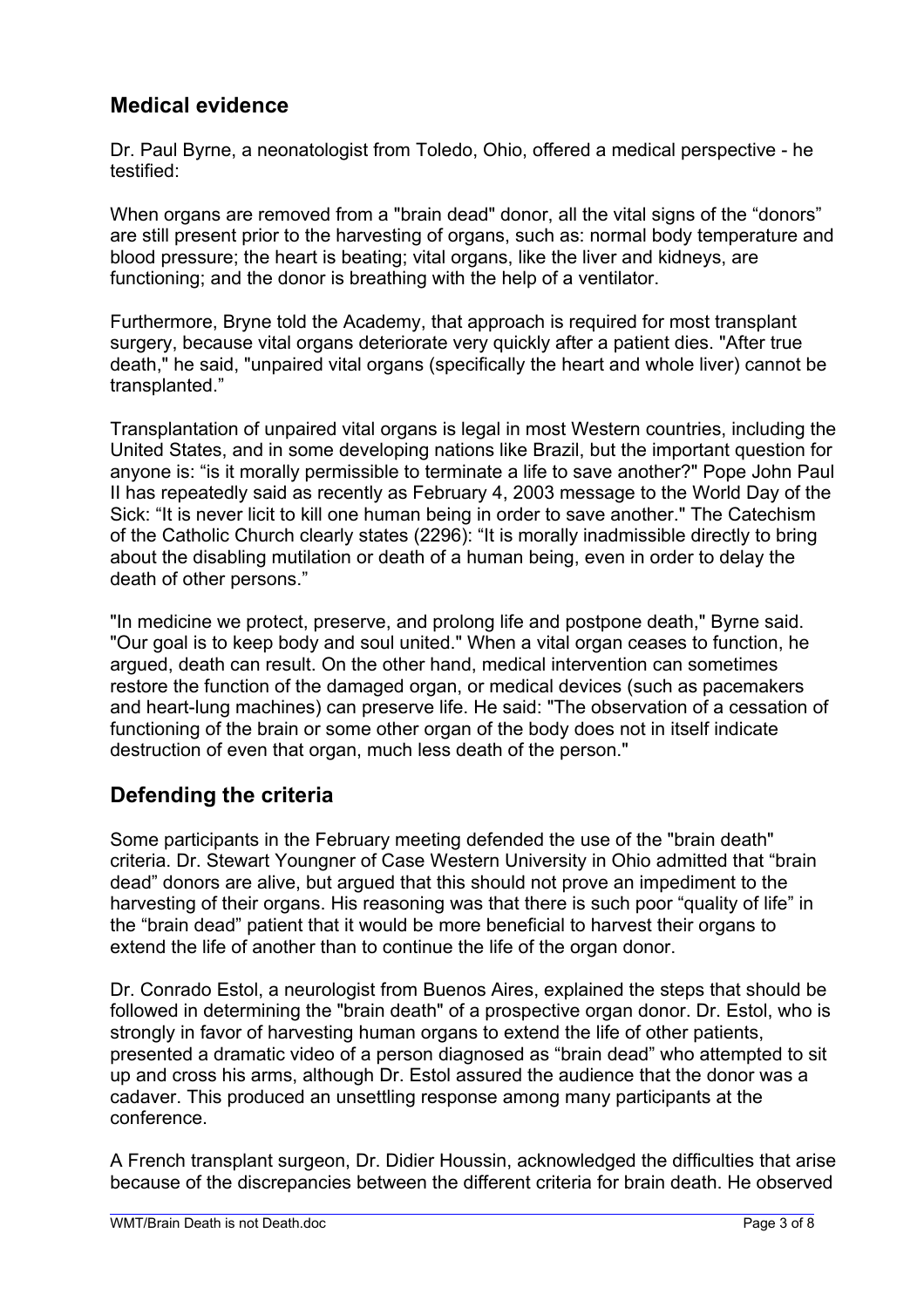# **Medical evidence**

Dr. Paul Byrne, a neonatologist from Toledo, Ohio, offered a medical perspective - he testified:

When organs are removed from a "brain dead" donor, all the vital signs of the "donors" are still present prior to the harvesting of organs, such as: normal body temperature and blood pressure; the heart is beating; vital organs, like the liver and kidneys, are functioning; and the donor is breathing with the help of a ventilator.

Furthermore, Bryne told the Academy, that approach is required for most transplant surgery, because vital organs deteriorate very quickly after a patient dies. "After true death," he said, "unpaired vital organs (specifically the heart and whole liver) cannot be transplanted."

Transplantation of unpaired vital organs is legal in most Western countries, including the United States, and in some developing nations like Brazil, but the important question for anyone is: "is it morally permissible to terminate a life to save another?" Pope John Paul II has repeatedly said as recently as February 4, 2003 message to the World Day of the Sick: "It is never licit to kill one human being in order to save another." The Catechism of the Catholic Church clearly states (2296): "It is morally inadmissible directly to bring about the disabling mutilation or death of a human being, even in order to delay the death of other persons."

"In medicine we protect, preserve, and prolong life and postpone death," Byrne said. "Our goal is to keep body and soul united." When a vital organ ceases to function, he argued, death can result. On the other hand, medical intervention can sometimes restore the function of the damaged organ, or medical devices (such as pacemakers and heart-lung machines) can preserve life. He said: "The observation of a cessation of functioning of the brain or some other organ of the body does not in itself indicate destruction of even that organ, much less death of the person."

# **Defending the criteria**

Some participants in the February meeting defended the use of the "brain death" criteria. Dr. Stewart Youngner of Case Western University in Ohio admitted that "brain dead" donors are alive, but argued that this should not prove an impediment to the harvesting of their organs. His reasoning was that there is such poor "quality of life" in the "brain dead" patient that it would be more beneficial to harvest their organs to extend the life of another than to continue the life of the organ donor.

Dr. Conrado Estol, a neurologist from Buenos Aires, explained the steps that should be followed in determining the "brain death" of a prospective organ donor. Dr. Estol, who is strongly in favor of harvesting human organs to extend the life of other patients, presented a dramatic video of a person diagnosed as "brain dead" who attempted to sit up and cross his arms, although Dr. Estol assured the audience that the donor was a cadaver. This produced an unsettling response among many participants at the conference.

A French transplant surgeon, Dr. Didier Houssin, acknowledged the difficulties that arise because of the discrepancies between the different criteria for brain death. He observed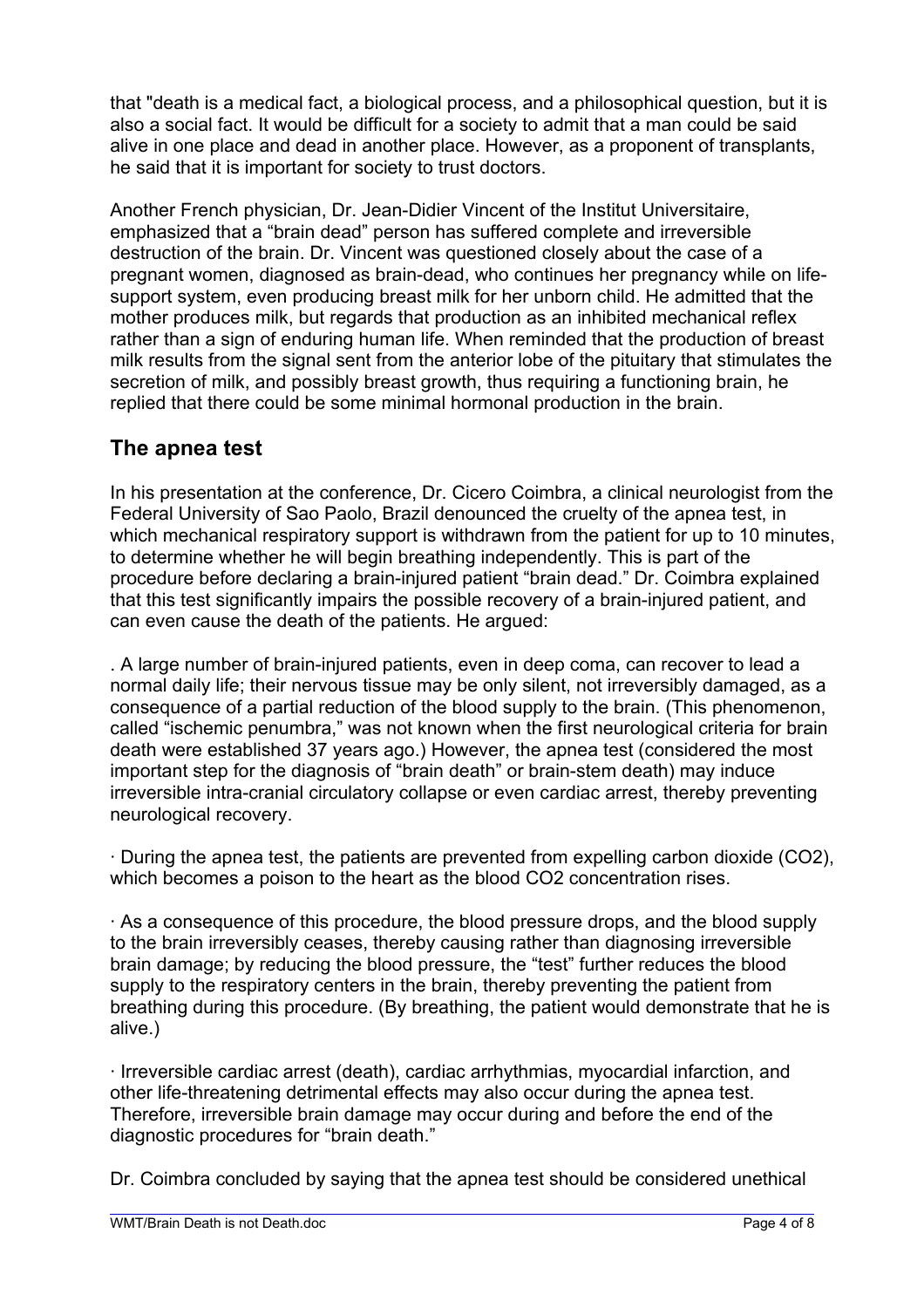that "death is a medical fact, a biological process, and a philosophical question, but it is also a social fact. It would be difficult for a society to admit that a man could be said alive in one place and dead in another place. However, as a proponent of transplants, he said that it is important for society to trust doctors.

Another French physician, Dr. Jean-Didier Vincent of the Institut Universitaire, emphasized that a "brain dead" person has suffered complete and irreversible destruction of the brain. Dr. Vincent was questioned closely about the case of a pregnant women, diagnosed as brain-dead, who continues her pregnancy while on lifesupport system, even producing breast milk for her unborn child. He admitted that the mother produces milk, but regards that production as an inhibited mechanical reflex rather than a sign of enduring human life. When reminded that the production of breast milk results from the signal sent from the anterior lobe of the pituitary that stimulates the secretion of milk, and possibly breast growth, thus requiring a functioning brain, he replied that there could be some minimal hormonal production in the brain.

# **The apnea test**

In his presentation at the conference, Dr. Cicero Coimbra, a clinical neurologist from the Federal University of Sao Paolo, Brazil denounced the cruelty of the apnea test, in which mechanical respiratory support is withdrawn from the patient for up to 10 minutes. to determine whether he will begin breathing independently. This is part of the procedure before declaring a brain-injured patient "brain dead." Dr. Coimbra explained that this test significantly impairs the possible recovery of a brain-injured patient, and can even cause the death of the patients. He argued:

. A large number of brain-injured patients, even in deep coma, can recover to lead a normal daily life; their nervous tissue may be only silent, not irreversibly damaged, as a consequence of a partial reduction of the blood supply to the brain. (This phenomenon, called "ischemic penumbra," was not known when the first neurological criteria for brain death were established 37 years ago.) However, the apnea test (considered the most important step for the diagnosis of "brain death" or brain-stem death) may induce irreversible intra-cranial circulatory collapse or even cardiac arrest, thereby preventing neurological recovery.

· During the apnea test, the patients are prevented from expelling carbon dioxide (CO2), which becomes a poison to the heart as the blood CO2 concentration rises.

· As a consequence of this procedure, the blood pressure drops, and the blood supply to the brain irreversibly ceases, thereby causing rather than diagnosing irreversible brain damage; by reducing the blood pressure, the "test" further reduces the blood supply to the respiratory centers in the brain, thereby preventing the patient from breathing during this procedure. (By breathing, the patient would demonstrate that he is alive.)

· Irreversible cardiac arrest (death), cardiac arrhythmias, myocardial infarction, and other life-threatening detrimental effects may also occur during the apnea test. Therefore, irreversible brain damage may occur during and before the end of the diagnostic procedures for "brain death."

Dr. Coimbra concluded by saying that the apnea test should be considered unethical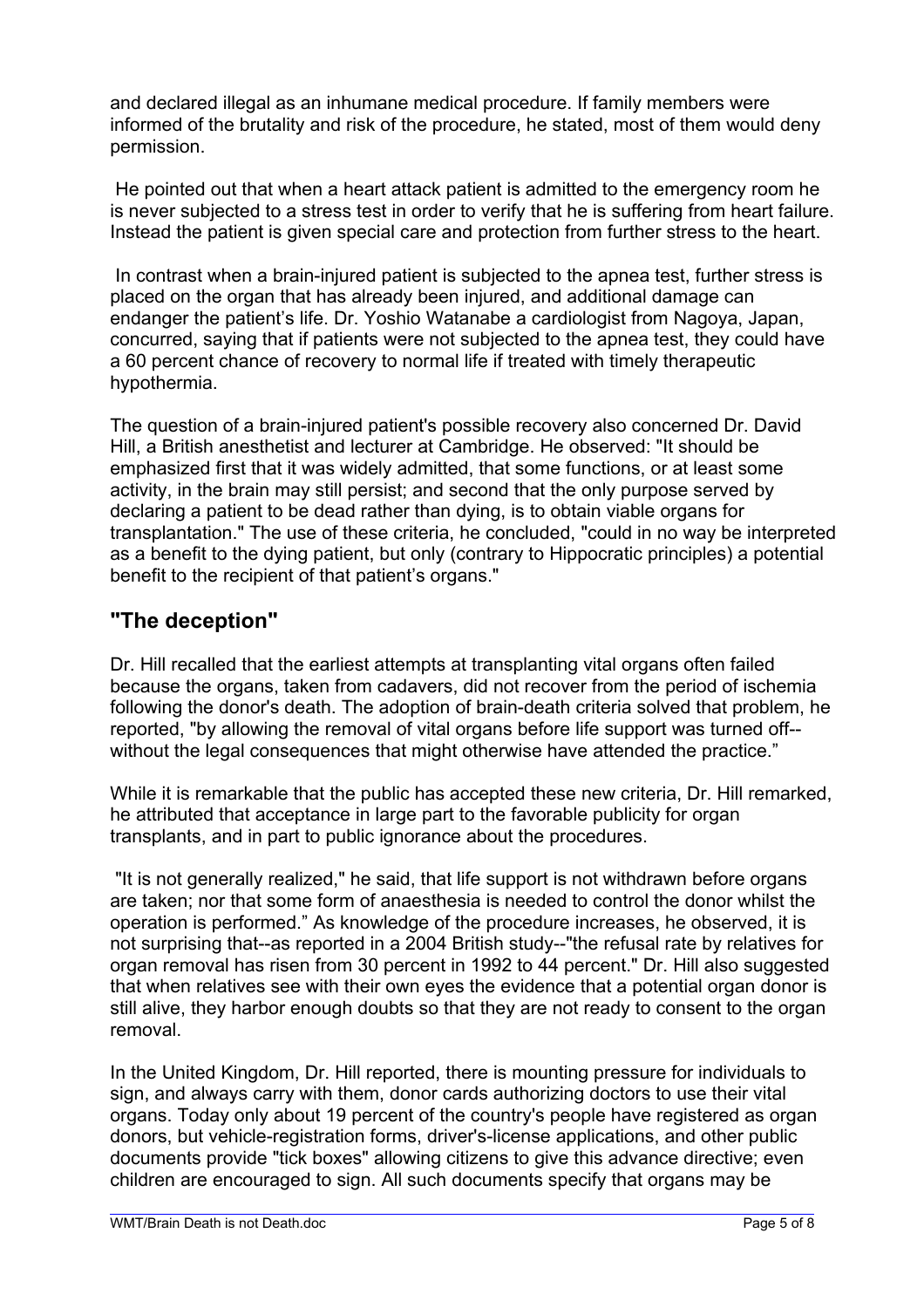and declared illegal as an inhumane medical procedure. If family members were informed of the brutality and risk of the procedure, he stated, most of them would deny permission.

 He pointed out that when a heart attack patient is admitted to the emergency room he is never subjected to a stress test in order to verify that he is suffering from heart failure. Instead the patient is given special care and protection from further stress to the heart.

 In contrast when a brain-injured patient is subjected to the apnea test, further stress is placed on the organ that has already been injured, and additional damage can endanger the patient's life. Dr. Yoshio Watanabe a cardiologist from Nagoya, Japan, concurred, saying that if patients were not subjected to the apnea test, they could have a 60 percent chance of recovery to normal life if treated with timely therapeutic hypothermia.

The question of a brain-injured patient's possible recovery also concerned Dr. David Hill, a British anesthetist and lecturer at Cambridge. He observed: "It should be emphasized first that it was widely admitted, that some functions, or at least some activity, in the brain may still persist; and second that the only purpose served by declaring a patient to be dead rather than dying, is to obtain viable organs for transplantation." The use of these criteria, he concluded, "could in no way be interpreted as a benefit to the dying patient, but only (contrary to Hippocratic principles) a potential benefit to the recipient of that patient's organs."

### **"The deception"**

Dr. Hill recalled that the earliest attempts at transplanting vital organs often failed because the organs, taken from cadavers, did not recover from the period of ischemia following the donor's death. The adoption of brain-death criteria solved that problem, he reported, "by allowing the removal of vital organs before life support was turned off- without the legal consequences that might otherwise have attended the practice."

While it is remarkable that the public has accepted these new criteria, Dr. Hill remarked, he attributed that acceptance in large part to the favorable publicity for organ transplants, and in part to public ignorance about the procedures.

 "It is not generally realized," he said, that life support is not withdrawn before organs are taken; nor that some form of anaesthesia is needed to control the donor whilst the operation is performed." As knowledge of the procedure increases, he observed, it is not surprising that--as reported in a 2004 British study--"the refusal rate by relatives for organ removal has risen from 30 percent in 1992 to 44 percent." Dr. Hill also suggested that when relatives see with their own eyes the evidence that a potential organ donor is still alive, they harbor enough doubts so that they are not ready to consent to the organ removal.

In the United Kingdom, Dr. Hill reported, there is mounting pressure for individuals to sign, and always carry with them, donor cards authorizing doctors to use their vital organs. Today only about 19 percent of the country's people have registered as organ donors, but vehicle-registration forms, driver's-license applications, and other public documents provide "tick boxes" allowing citizens to give this advance directive; even children are encouraged to sign. All such documents specify that organs may be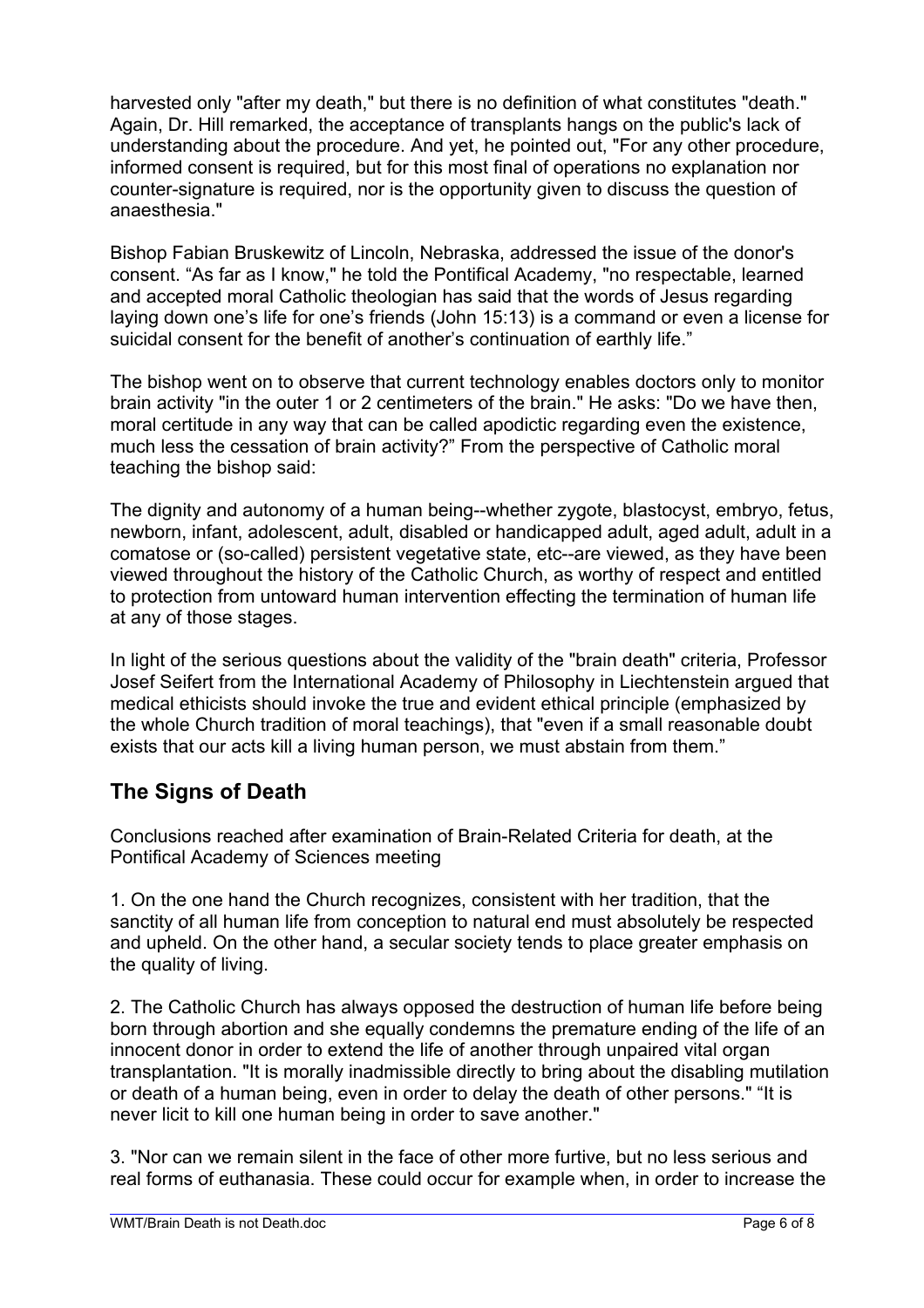harvested only "after my death," but there is no definition of what constitutes "death." Again, Dr. Hill remarked, the acceptance of transplants hangs on the public's lack of understanding about the procedure. And yet, he pointed out, "For any other procedure, informed consent is required, but for this most final of operations no explanation nor counter-signature is required, nor is the opportunity given to discuss the question of anaesthesia."

Bishop Fabian Bruskewitz of Lincoln, Nebraska, addressed the issue of the donor's consent. "As far as I know," he told the Pontifical Academy, "no respectable, learned and accepted moral Catholic theologian has said that the words of Jesus regarding laying down one's life for one's friends (John 15:13) is a command or even a license for suicidal consent for the benefit of another's continuation of earthly life."

The bishop went on to observe that current technology enables doctors only to monitor brain activity "in the outer 1 or 2 centimeters of the brain." He asks: "Do we have then, moral certitude in any way that can be called apodictic regarding even the existence, much less the cessation of brain activity?" From the perspective of Catholic moral teaching the bishop said:

The dignity and autonomy of a human being--whether zygote, blastocyst, embryo, fetus, newborn, infant, adolescent, adult, disabled or handicapped adult, aged adult, adult in a comatose or (so-called) persistent vegetative state, etc--are viewed, as they have been viewed throughout the history of the Catholic Church, as worthy of respect and entitled to protection from untoward human intervention effecting the termination of human life at any of those stages.

In light of the serious questions about the validity of the "brain death" criteria, Professor Josef Seifert from the International Academy of Philosophy in Liechtenstein argued that medical ethicists should invoke the true and evident ethical principle (emphasized by the whole Church tradition of moral teachings), that "even if a small reasonable doubt exists that our acts kill a living human person, we must abstain from them."

# **The Signs of Death**

Conclusions reached after examination of Brain-Related Criteria for death, at the Pontifical Academy of Sciences meeting

1. On the one hand the Church recognizes, consistent with her tradition, that the sanctity of all human life from conception to natural end must absolutely be respected and upheld. On the other hand, a secular society tends to place greater emphasis on the quality of living.

2. The Catholic Church has always opposed the destruction of human life before being born through abortion and she equally condemns the premature ending of the life of an innocent donor in order to extend the life of another through unpaired vital organ transplantation. "It is morally inadmissible directly to bring about the disabling mutilation or death of a human being, even in order to delay the death of other persons." "It is never licit to kill one human being in order to save another."

3. "Nor can we remain silent in the face of other more furtive, but no less serious and real forms of euthanasia. These could occur for example when, in order to increase the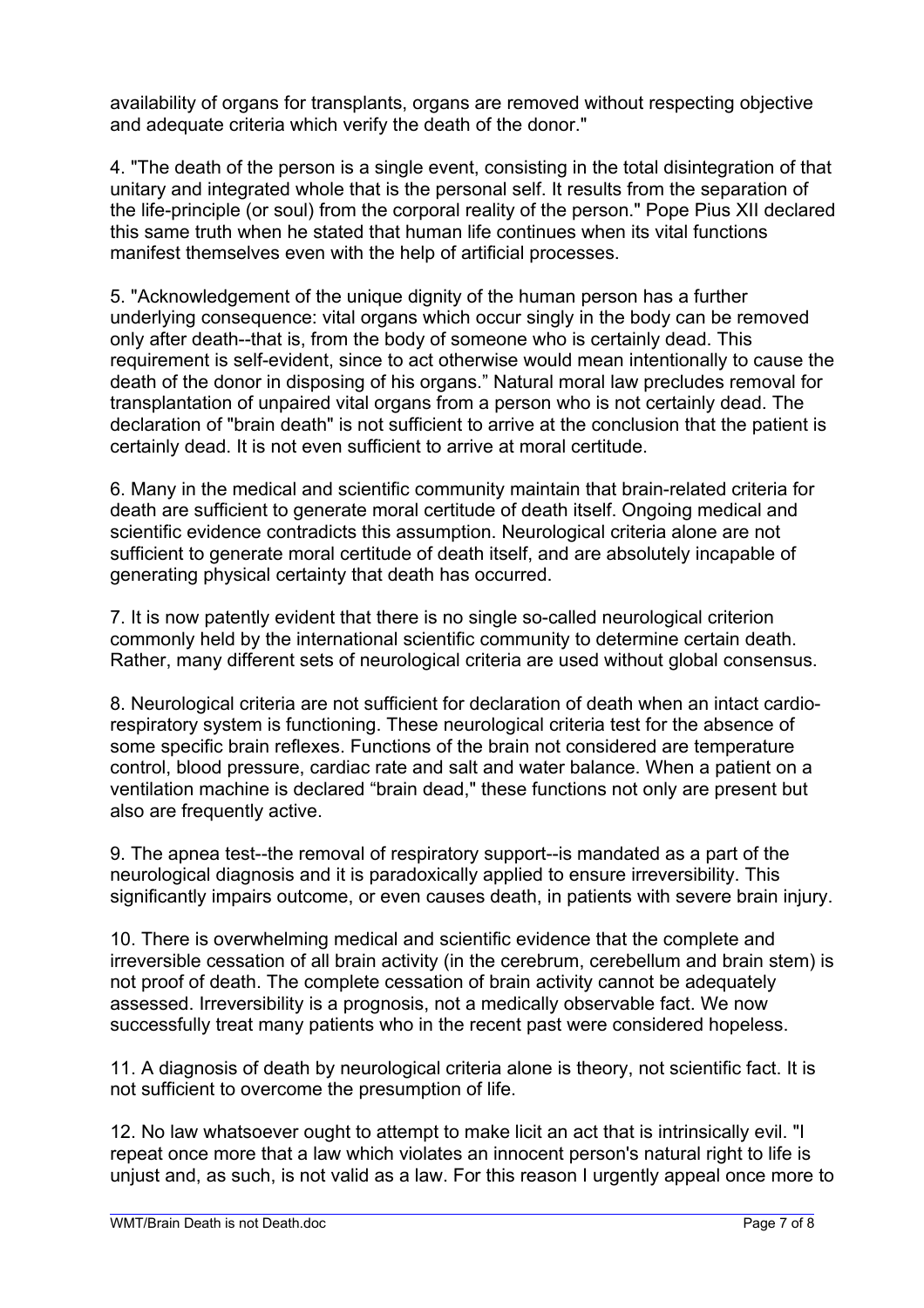availability of organs for transplants, organs are removed without respecting objective and adequate criteria which verify the death of the donor."

4. "The death of the person is a single event, consisting in the total disintegration of that unitary and integrated whole that is the personal self. It results from the separation of the life-principle (or soul) from the corporal reality of the person." Pope Pius XII declared this same truth when he stated that human life continues when its vital functions manifest themselves even with the help of artificial processes.

5. "Acknowledgement of the unique dignity of the human person has a further underlying consequence: vital organs which occur singly in the body can be removed only after death--that is, from the body of someone who is certainly dead. This requirement is self-evident, since to act otherwise would mean intentionally to cause the death of the donor in disposing of his organs." Natural moral law precludes removal for transplantation of unpaired vital organs from a person who is not certainly dead. The declaration of "brain death" is not sufficient to arrive at the conclusion that the patient is certainly dead. It is not even sufficient to arrive at moral certitude.

6. Many in the medical and scientific community maintain that brain-related criteria for death are sufficient to generate moral certitude of death itself. Ongoing medical and scientific evidence contradicts this assumption. Neurological criteria alone are not sufficient to generate moral certitude of death itself, and are absolutely incapable of generating physical certainty that death has occurred.

7. It is now patently evident that there is no single so-called neurological criterion commonly held by the international scientific community to determine certain death. Rather, many different sets of neurological criteria are used without global consensus.

8. Neurological criteria are not sufficient for declaration of death when an intact cardiorespiratory system is functioning. These neurological criteria test for the absence of some specific brain reflexes. Functions of the brain not considered are temperature control, blood pressure, cardiac rate and salt and water balance. When a patient on a ventilation machine is declared "brain dead," these functions not only are present but also are frequently active.

9. The apnea test--the removal of respiratory support--is mandated as a part of the neurological diagnosis and it is paradoxically applied to ensure irreversibility. This significantly impairs outcome, or even causes death, in patients with severe brain injury.

10. There is overwhelming medical and scientific evidence that the complete and irreversible cessation of all brain activity (in the cerebrum, cerebellum and brain stem) is not proof of death. The complete cessation of brain activity cannot be adequately assessed. Irreversibility is a prognosis, not a medically observable fact. We now successfully treat many patients who in the recent past were considered hopeless.

11. A diagnosis of death by neurological criteria alone is theory, not scientific fact. It is not sufficient to overcome the presumption of life.

12. No law whatsoever ought to attempt to make licit an act that is intrinsically evil. "I repeat once more that a law which violates an innocent person's natural right to life is unjust and, as such, is not valid as a law. For this reason I urgently appeal once more to